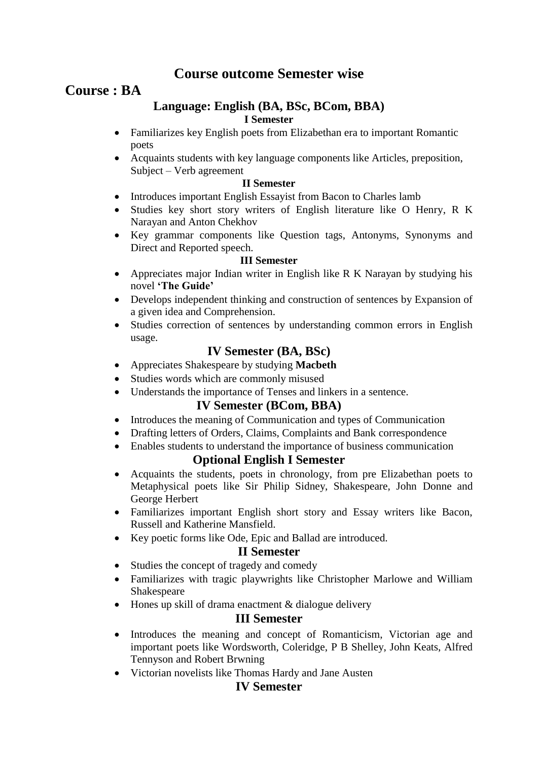# **Course outcome Semester wise**

# **Course : BA**

### **Language: English (BA, BSc, BCom, BBA) I Semester**

- Familiarizes key English poets from Elizabethan era to important Romantic poets
- Acquaints students with key language components like Articles, preposition, Subject – Verb agreement

#### **II Semester**

- Introduces important English Essayist from Bacon to Charles lamb
- Studies key short story writers of English literature like O Henry, R K Narayan and Anton Chekhov
- Key grammar components like Question tags, Antonyms, Synonyms and Direct and Reported speech.

#### **III Semester**

- Appreciates major Indian writer in English like R K Narayan by studying his novel **'The Guide'**
- Develops independent thinking and construction of sentences by Expansion of a given idea and Comprehension.
- Studies correction of sentences by understanding common errors in English usage.

# **IV Semester (BA, BSc)**

- Appreciates Shakespeare by studying **Macbeth**
- Studies words which are commonly misused
- Understands the importance of Tenses and linkers in a sentence.

### **IV Semester (BCom, BBA)**

- Introduces the meaning of Communication and types of Communication
- Drafting letters of Orders, Claims, Complaints and Bank correspondence
- Enables students to understand the importance of business communication

## **Optional English I Semester**

- Acquaints the students, poets in chronology, from pre Elizabethan poets to Metaphysical poets like Sir Philip Sidney, Shakespeare, John Donne and George Herbert
- Familiarizes important English short story and Essay writers like Bacon, Russell and Katherine Mansfield.
- Key poetic forms like Ode, Epic and Ballad are introduced.

### **II Semester**

- Studies the concept of tragedy and comedy
- Familiarizes with tragic playwrights like Christopher Marlowe and William Shakespeare
- Hones up skill of drama enactment & dialogue delivery

## **III Semester**

- Introduces the meaning and concept of Romanticism, Victorian age and important poets like Wordsworth, Coleridge, P B Shelley, John Keats, Alfred Tennyson and Robert Brwning
- Victorian novelists like Thomas Hardy and Jane Austen

## **IV Semester**